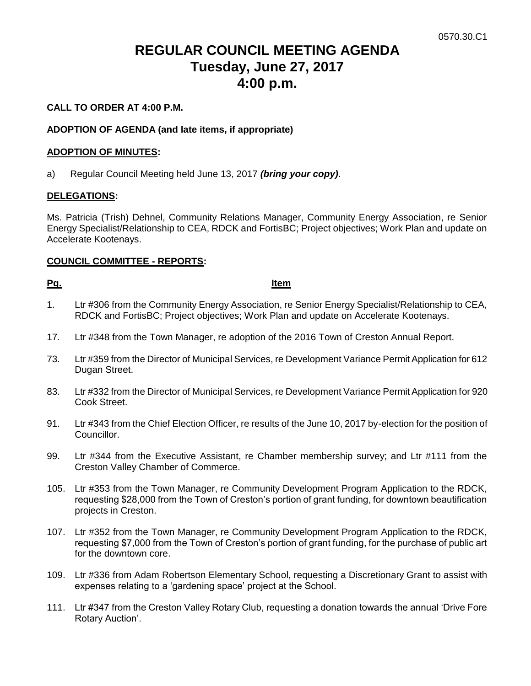# **REGULAR COUNCIL MEETING AGENDA Tuesday, June 27, 2017 4:00 p.m.**

### **CALL TO ORDER AT 4:00 P.M.**

### **ADOPTION OF AGENDA (and late items, if appropriate)**

#### **ADOPTION OF MINUTES:**

a) Regular Council Meeting held June 13, 2017 *(bring your copy)*.

#### **DELEGATIONS:**

Ms. Patricia (Trish) Dehnel, Community Relations Manager, Community Energy Association, re Senior Energy Specialist/Relationship to CEA, RDCK and FortisBC; Project objectives; Work Plan and update on Accelerate Kootenays.

#### **COUNCIL COMMITTEE - REPORTS:**

**Pg. Item**

- 1. Ltr #306 from the Community Energy Association, re Senior Energy Specialist/Relationship to CEA, RDCK and FortisBC; Project objectives; Work Plan and update on Accelerate Kootenays.
- 17. Ltr #348 from the Town Manager, re adoption of the 2016 Town of Creston Annual Report.
- 73. Ltr #359 from the Director of Municipal Services, re Development Variance Permit Application for 612 Dugan Street.
- 83. Ltr #332 from the Director of Municipal Services, re Development Variance Permit Application for 920 Cook Street.
- 91. Ltr #343 from the Chief Election Officer, re results of the June 10, 2017 by-election for the position of Councillor.
- 99. Ltr #344 from the Executive Assistant, re Chamber membership survey; and Ltr #111 from the Creston Valley Chamber of Commerce.
- 105. Ltr #353 from the Town Manager, re Community Development Program Application to the RDCK, requesting \$28,000 from the Town of Creston's portion of grant funding, for downtown beautification projects in Creston.
- 107. Ltr #352 from the Town Manager, re Community Development Program Application to the RDCK, requesting \$7,000 from the Town of Creston's portion of grant funding, for the purchase of public art for the downtown core.
- 109. Ltr #336 from Adam Robertson Elementary School, requesting a Discretionary Grant to assist with expenses relating to a 'gardening space' project at the School.
- 111. Ltr #347 from the Creston Valley Rotary Club, requesting a donation towards the annual 'Drive Fore Rotary Auction'.